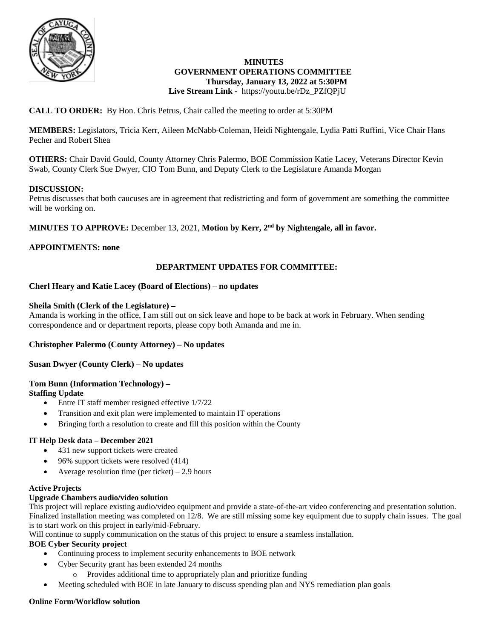

#### **MINUTES GOVERNMENT OPERATIONS COMMITTEE Thursday, January 13, 2022 at 5:30PM Live Stream Link -** https://youtu.be/rDz\_PZfQPjU

# **CALL TO ORDER:** By Hon. Chris Petrus, Chair called the meeting to order at 5:30PM

**MEMBERS:** Legislators, Tricia Kerr, Aileen McNabb-Coleman, Heidi Nightengale, Lydia Patti Ruffini, Vice Chair Hans Pecher and Robert Shea

**OTHERS:** Chair David Gould, County Attorney Chris Palermo, BOE Commission Katie Lacey, Veterans Director Kevin Swab, County Clerk Sue Dwyer, CIO Tom Bunn, and Deputy Clerk to the Legislature Amanda Morgan

### **DISCUSSION:**

Petrus discusses that both caucuses are in agreement that redistricting and form of government are something the committee will be working on.

**MINUTES TO APPROVE:** December 13, 2021, **Motion by Kerr, 2nd by Nightengale, all in favor.**

## **APPOINTMENTS: none**

## **DEPARTMENT UPDATES FOR COMMITTEE:**

### **Cherl Heary and Katie Lacey (Board of Elections) – no updates**

#### **Sheila Smith (Clerk of the Legislature) –**

Amanda is working in the office, I am still out on sick leave and hope to be back at work in February. When sending correspondence and or department reports, please copy both Amanda and me in.

#### **Christopher Palermo (County Attorney) – No updates**

#### **Susan Dwyer (County Clerk) – No updates**

## **Tom Bunn (Information Technology) –**

**Staffing Update**

- Entre IT staff member resigned effective  $1/7/22$
- Transition and exit plan were implemented to maintain IT operations
- Bringing forth a resolution to create and fill this position within the County

#### **IT Help Desk data – December 2021**

- 431 new support tickets were created
- 96% support tickets were resolved (414)
- Average resolution time (per ticket) 2.9 hours

#### **Active Projects**

#### **Upgrade Chambers audio/video solution**

This project will replace existing audio/video equipment and provide a state-of-the-art video conferencing and presentation solution. Finalized installation meeting was completed on 12/8. We are still missing some key equipment due to supply chain issues. The goal is to start work on this project in early/mid-February.

Will continue to supply communication on the status of this project to ensure a seamless installation.

#### **BOE Cyber Security project**

- Continuing process to implement security enhancements to BOE network
- Cyber Security grant has been extended 24 months
	- o Provides additional time to appropriately plan and prioritize funding
- Meeting scheduled with BOE in late January to discuss spending plan and NYS remediation plan goals

#### **Online Form/Workflow solution**